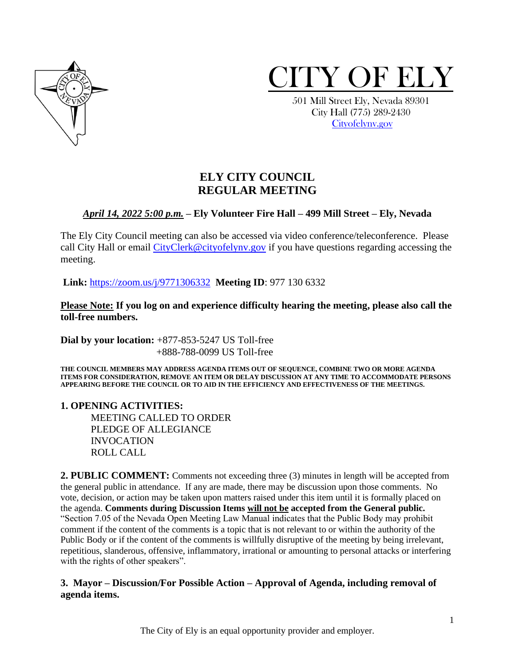



 501 Mill Street Ely, Nevada 89301 City Hall (775) 289-2430 [Cityofelynv.gov](mailto:Cityofelynv.gov)

# **ELY CITY COUNCIL REGULAR MEETING**

# *April 14, 2022 5:00 p.m.* **– Ely Volunteer Fire Hall – 499 Mill Street – Ely, Nevada**

The Ely City Council meeting can also be accessed via video conference/teleconference. Please call City Hall or email [CityClerk@cityofelynv.gov](mailto:CityClerk@cityofelynv.gov) if you have questions regarding accessing the meeting.

**Link:** [https://zoom.us/j/9771306332](https://zoom.us/j/9771306332?status=success) **Meeting ID**: 977 130 6332

**Please Note: If you log on and experience difficulty hearing the meeting, please also call the toll-free numbers.** 

**Dial by your location:** +877-853-5247 US Toll-free +888-788-0099 US Toll-free

**THE COUNCIL MEMBERS MAY ADDRESS AGENDA ITEMS OUT OF SEQUENCE, COMBINE TWO OR MORE AGENDA ITEMS FOR CONSIDERATION, REMOVE AN ITEM OR DELAY DISCUSSION AT ANY TIME TO ACCOMMODATE PERSONS APPEARING BEFORE THE COUNCIL OR TO AID IN THE EFFICIENCY AND EFFECTIVENESS OF THE MEETINGS.**

#### **1. OPENING ACTIVITIES:**

MEETING CALLED TO ORDER PLEDGE OF ALLEGIANCE INVOCATION ROLL CALL

**2. PUBLIC COMMENT:** Comments not exceeding three (3) minutes in length will be accepted from the general public in attendance. If any are made, there may be discussion upon those comments. No vote, decision, or action may be taken upon matters raised under this item until it is formally placed on the agenda. **Comments during Discussion Items will not be accepted from the General public.**  "Section 7.05 of the Nevada Open Meeting Law Manual indicates that the Public Body may prohibit comment if the content of the comments is a topic that is not relevant to or within the authority of the Public Body or if the content of the comments is willfully disruptive of the meeting by being irrelevant, repetitious, slanderous, offensive, inflammatory, irrational or amounting to personal attacks or interfering with the rights of other speakers".

# **3. Mayor – Discussion/For Possible Action – Approval of Agenda, including removal of agenda items.**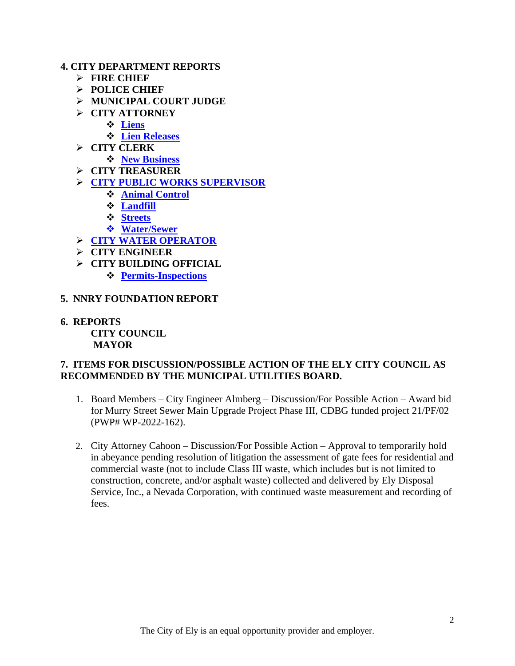#### **4. CITY DEPARTMENT REPORTS**

- ➢ **FIRE CHIEF**
- ➢ **POLICE CHIEF**
- ➢ **MUNICIPAL COURT JUDGE**
- ➢ **CITY ATTORNEY**
	- ❖ **[Liens](https://www.cityofelynv.gov/pdf/CityCouncil2022/cc4-14-22/liensMarch22report.pdf)**
	- ❖ **[Lien Releases](https://www.cityofelynv.gov/pdf/CityCouncil2022/cc4-14-22/Lienreleasereportmarch22.pdf)**
- ➢ **CITY CLERK**
	- ❖ **[New Business](https://www.cityofelynv.gov/pdf/CityCouncil2022/cc4-14-22/NewbusinessesMarch22report.pdf)**
- ➢ **CITY TREASURER**
- ➢ **[CITY PUBLIC WORKS SUPERVISOR](https://www.cityofelynv.gov/pdf/CityCouncil2022/cc4-14-22/Publicworkssupervisormarch22report.pdf)**
	- ❖ **[Animal Control](https://www.cityofelynv.gov/pdf/CityCouncil2022/cc4-14-22/Animalcontrolfebruary22report.pdf)**
	- ❖ **[Landfill](https://www.cityofelynv.gov/pdf/CityCouncil2022/cc4-14-22/Landfillmarch22report.pdf)**
	- ❖ **[Streets](https://www.cityofelynv.gov/pdf/CityCouncil2022/cc4-14-22/Streetsfebruary22report.pdf)**
	- ❖ **[Water/Sewer](https://www.cityofelynv.gov/pdf/CityCouncil2022/cc4-14-22/Water-SewerMarch22report.pdf)**
- ➢ **[CITY WATER OPERATOR](https://www.cityofelynv.gov/pdf/CityCouncil2022/cc4-14-22/wateroperatorreportMarch22.pdf)**
- ➢ **CITY ENGINEER**
- ➢ **CITY BUILDING OFFICIAL**
	- ❖ **[Permits-Inspections](https://www.cityofelynv.gov/pdf/CityCouncil2022/cc4-14-22/Buildingdept.march22report.pdf)**
- **5. NNRY FOUNDATION REPORT**
- **6. REPORTS CITY COUNCIL MAYOR**

# **7. ITEMS FOR DISCUSSION/POSSIBLE ACTION OF THE ELY CITY COUNCIL AS RECOMMENDED BY THE MUNICIPAL UTILITIES BOARD.**

- 1. Board Members City Engineer Almberg Discussion/For Possible Action Award bid for Murry Street Sewer Main Upgrade Project Phase III, CDBG funded project 21/PF/02 (PWP# WP-2022-162).
- 2. City Attorney Cahoon Discussion/For Possible Action Approval to temporarily hold in abeyance pending resolution of litigation the assessment of gate fees for residential and commercial waste (not to include Class III waste, which includes but is not limited to construction, concrete, and/or asphalt waste) collected and delivered by Ely Disposal Service, Inc., a Nevada Corporation, with continued waste measurement and recording of fees.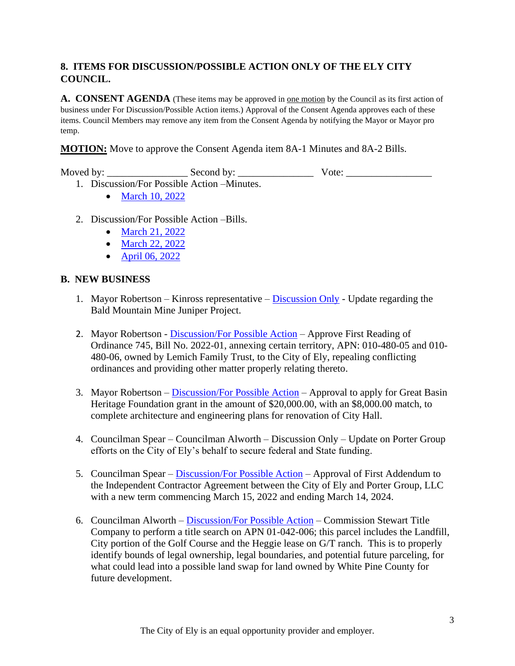# **8. ITEMS FOR DISCUSSION/POSSIBLE ACTION ONLY OF THE ELY CITY COUNCIL.**

**A. CONSENT AGENDA** (These items may be approved in <u>one motion</u> by the Council as its first action of business under For Discussion/Possible Action items.) Approval of the Consent Agenda approves each of these items. Council Members may remove any item from the Consent Agenda by notifying the Mayor or Mayor pro temp.

**MOTION:** Move to approve the Consent Agenda item 8A-1 Minutes and 8A-2 Bills.

Moved by: \_\_\_\_\_\_\_\_\_\_\_\_\_\_\_\_ Second by: \_\_\_\_\_\_\_\_\_\_\_\_\_\_\_ Vote: \_\_\_\_\_\_\_\_\_\_\_\_\_\_\_\_\_

- 1. Discussion/For Possible Action –Minutes.
	- [March 10, 2022](https://www.cityofelynv.gov/pdf/CityCouncil2022/cc4-14-22/cc3-10-22minutes.pdf)
- 2. Discussion/For Possible Action –Bills.
	- [March 21, 2022](https://www.cityofelynv.gov/pdf/CityCouncil2022/cc4-14-22/cc3-21-22bills.pdf)
	- [March 22, 2022](https://www.cityofelynv.gov/pdf/CityCouncil2022/cc4-14-22/cc3-22-22bills.pdf)
	- [April 06, 2022](https://www.cityofelynv.gov/pdf/CityCouncil2022/cc4-14-22/cc4-06-22bills.pdf)

#### **B. NEW BUSINESS**

- 1. Mayor Robertson Kinross representative  $Discussion Only Update regarding the$  $Discussion Only Update regarding the$ Bald Mountain Mine Juniper Project.
- 2. Mayor Robertson [Discussion/For Possible Action](https://www.cityofelynv.gov/pdf/CityCouncil2022/cc4-14-22/LemichFamilyTrustAnnexationOrdinance.pdf) Approve First Reading of Ordinance 745, Bill No. 2022-01, annexing certain territory, APN: 010-480-05 and 010- 480-06, owned by Lemich Family Trust, to the City of Ely, repealing conflicting ordinances and providing other matter properly relating thereto.
- 3. Mayor Robertson [Discussion/For Possible Action](https://www.cityofelynv.gov/pdf/CityCouncil2022/cc4-14-22/GBHAapplication.pdf) Approval to apply for Great Basin Heritage Foundation grant in the amount of \$20,000.00, with an \$8,000.00 match, to complete architecture and engineering plans for renovation of City Hall.
- 4. Councilman Spear Councilman Alworth Discussion Only Update on Porter Group efforts on the City of Ely's behalf to secure federal and State funding.
- 5. Councilman Spear [Discussion/For Possible Action](https://www.cityofelynv.gov/pdf/CityCouncil2022/cc4-14-22/Porteradendumtocontract.pdf) Approval of First Addendum to the Independent Contractor Agreement between the City of Ely and Porter Group, LLC with a new term commencing March 15, 2022 and ending March 14, 2024.
- 6. Councilman Alworth [Discussion/For Possible Action](https://www.cityofelynv.gov/pdf/CityCouncil2022/cc4-14-22/titlesearchrequesforAPN01-042-006.pdf) Commission Stewart Title Company to perform a title search on APN 01-042-006; this parcel includes the Landfill, City portion of the Golf Course and the Heggie lease on G/T ranch. This is to properly identify bounds of legal ownership, legal boundaries, and potential future parceling, for what could lead into a possible land swap for land owned by White Pine County for future development.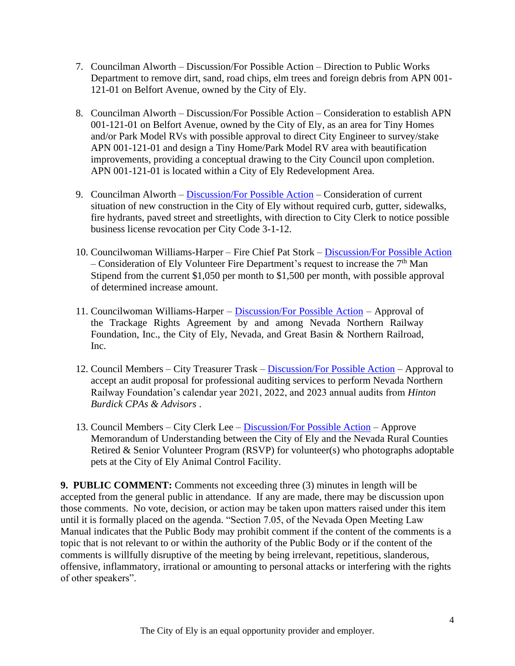- 7. Councilman Alworth Discussion/For Possible Action Direction to Public Works Department to remove dirt, sand, road chips, elm trees and foreign debris from APN 001- 121-01 on Belfort Avenue, owned by the City of Ely.
- 8. Councilman Alworth Discussion/For Possible Action Consideration to establish APN 001-121-01 on Belfort Avenue, owned by the City of Ely, as an area for Tiny Homes and/or Park Model RVs with possible approval to direct City Engineer to survey/stake APN 001-121-01 and design a Tiny Home/Park Model RV area with beautification improvements, providing a conceptual drawing to the City Council upon completion. APN 001-121-01 is located within a City of Ely Redevelopment Area.
- 9. Councilman Alworth [Discussion/For Possible Action](https://www.cityofelynv.gov/pdf/CityCouncil2022/cc4-14-22/Code3-1-12.pdf) Consideration of current situation of new construction in the City of Ely without required curb, gutter, sidewalks, fire hydrants, paved street and streetlights, with direction to City Clerk to notice possible business license revocation per City Code 3-1-12.
- 10. Councilwoman Williams-Harper Fire Chief Pat Stork [Discussion/For Possible Action](https://www.cityofelynv.gov/pdf/CityCouncil2022/cc4-14-22/Firedept7thmanstipend.pdf) – Consideration of Ely Volunteer Fire Department's request to increase the  $7<sup>th</sup>$  Man Stipend from the current \$1,050 per month to \$1,500 per month, with possible approval of determined increase amount.
- 11. Councilwoman Williams-Harper [Discussion/For Possible Action](https://www.cityofelynv.gov/pdf/CityCouncil2022/cc4-14-22/GBNDraftTrackageRightsAgreemt.pdf) Approval of the Trackage Rights Agreement by and among Nevada Northern Railway Foundation, Inc., the City of Ely, Nevada, and Great Basin & Northern Railroad, Inc.
- 12. Council Members City Treasurer Trask [Discussion/For Possible Action](https://www.cityofelynv.gov/pdf/CityCouncil2022/cc4-14-22/NNRYAuditproposal.pdf) Approval to accept an audit proposal for professional auditing services to perform Nevada Northern Railway Foundation's calendar year 2021, 2022, and 2023 annual audits from *Hinton Burdick CPAs & Advisors* .
- 13. Council Members City Clerk Lee [Discussion/For Possible Action](https://www.cityofelynv.gov/pdf/CityCouncil2022/cc4-14-22/RSVPVolunteerMOU.pdf) Approve Memorandum of Understanding between the City of Ely and the Nevada Rural Counties Retired & Senior Volunteer Program (RSVP) for volunteer(s) who photographs adoptable pets at the City of Ely Animal Control Facility.

**9. PUBLIC COMMENT:** Comments not exceeding three (3) minutes in length will be accepted from the general public in attendance. If any are made, there may be discussion upon those comments. No vote, decision, or action may be taken upon matters raised under this item until it is formally placed on the agenda. "Section 7.05, of the Nevada Open Meeting Law Manual indicates that the Public Body may prohibit comment if the content of the comments is a topic that is not relevant to or within the authority of the Public Body or if the content of the comments is willfully disruptive of the meeting by being irrelevant, repetitious, slanderous, offensive, inflammatory, irrational or amounting to personal attacks or interfering with the rights of other speakers".